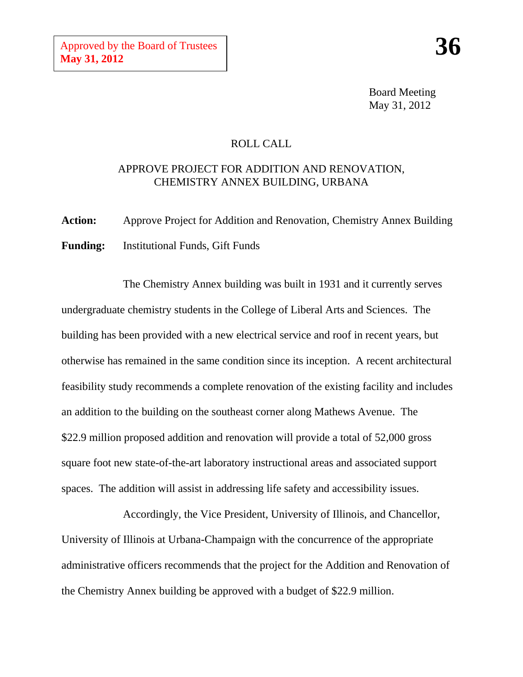Board Meeting May 31, 2012

## ROLL CALL

## APPROVE PROJECT FOR ADDITION AND RENOVATION, CHEMISTRY ANNEX BUILDING, URBANA

**Action:** Approve Project for Addition and Renovation, Chemistry Annex Building **Funding:** Institutional Funds, Gift Funds

The Chemistry Annex building was built in 1931 and it currently serves undergraduate chemistry students in the College of Liberal Arts and Sciences. The building has been provided with a new electrical service and roof in recent years, but otherwise has remained in the same condition since its inception. A recent architectural feasibility study recommends a complete renovation of the existing facility and includes an addition to the building on the southeast corner along Mathews Avenue. The \$22.9 million proposed addition and renovation will provide a total of 52,000 gross square foot new state-of-the-art laboratory instructional areas and associated support spaces. The addition will assist in addressing life safety and accessibility issues.

Accordingly, the Vice President, University of Illinois, and Chancellor, University of Illinois at Urbana-Champaign with the concurrence of the appropriate administrative officers recommends that the project for the Addition and Renovation of the Chemistry Annex building be approved with a budget of \$22.9 million.